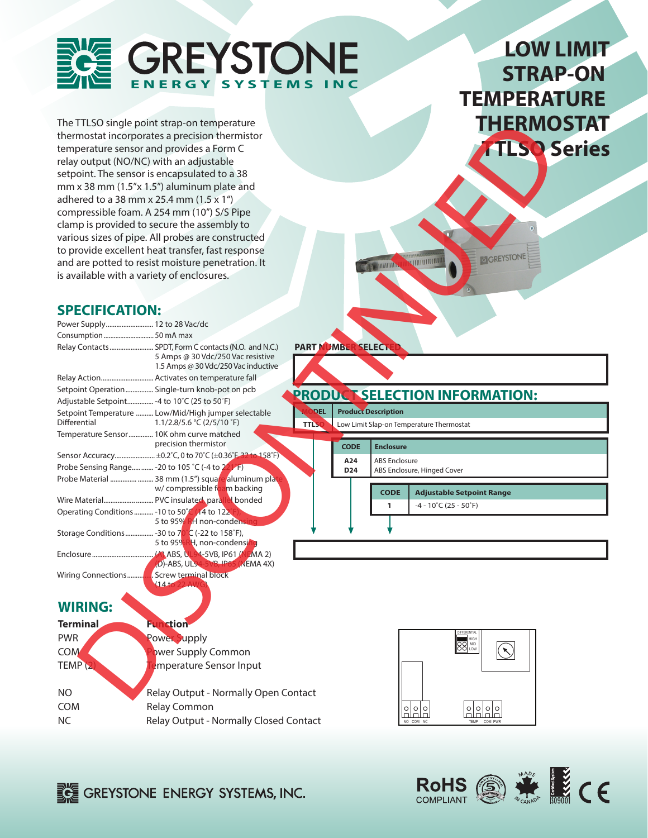

# **LOW LIMIT STRAP-ON TEMPERATURE THERMOSTAT TTLSO Series**

### **SPECIFICATION:**

|                                              | The TTLSO single point strap-on temperature                                               |                    |                        |                            | THERMOSTAT                                 |  |
|----------------------------------------------|-------------------------------------------------------------------------------------------|--------------------|------------------------|----------------------------|--------------------------------------------|--|
|                                              | thermostat incorporates a precision thermistor                                            |                    |                        |                            |                                            |  |
|                                              | temperature sensor and provides a Form C                                                  |                    |                        |                            | <b>TLSO Series</b>                         |  |
|                                              | relay output (NO/NC) with an adjustable                                                   |                    |                        |                            |                                            |  |
|                                              | setpoint. The sensor is encapsulated to a 38                                              |                    |                        |                            |                                            |  |
|                                              | mm x 38 mm (1.5"x 1.5") aluminum plate and                                                |                    |                        |                            |                                            |  |
|                                              | adhered to a 38 mm x 25.4 mm (1.5 x 1")                                                   |                    |                        |                            |                                            |  |
|                                              | compressible foam. A 254 mm (10") S/S Pipe                                                |                    |                        |                            |                                            |  |
|                                              | clamp is provided to secure the assembly to                                               |                    |                        |                            |                                            |  |
|                                              | various sizes of pipe. All probes are constructed                                         |                    |                        |                            |                                            |  |
|                                              | to provide excellent heat transfer, fast response                                         |                    |                        |                            |                                            |  |
|                                              | and are potted to resist moisture penetration. It                                         |                    |                        | <b>MINIMULA</b>            | <b>GREYSTONE</b><br><b>ANTIHOLILLE</b>     |  |
| is available with a variety of enclosures.   |                                                                                           |                    |                        |                            |                                            |  |
|                                              |                                                                                           |                    |                        |                            |                                            |  |
|                                              |                                                                                           |                    |                        |                            |                                            |  |
| <b>SPECIFICATION:</b>                        |                                                                                           |                    |                        |                            |                                            |  |
| Power Supply 12 to 28 Vac/dc                 |                                                                                           |                    |                        |                            |                                            |  |
| Consumption  50 mA max                       |                                                                                           |                    |                        |                            |                                            |  |
|                                              | Relay Contacts SPDT, Form C contacts (N.O. and N.C.)<br>5 Amps @ 30 Vdc/250 Vac resistive | PART NUMBER SELECT |                        |                            |                                            |  |
|                                              | 1.5 Amps @ 30 Vdc/250 Vac inductive                                                       |                    |                        |                            |                                            |  |
|                                              |                                                                                           |                    |                        |                            |                                            |  |
|                                              | Setpoint Operation Single-turn knob-pot on pcb                                            |                    |                        |                            |                                            |  |
| Adjustable Setpoint - 4 to 10°C (25 to 50°F) |                                                                                           |                    |                        |                            | <b>PRODUCT SELECTION INFORMATION:</b>      |  |
|                                              | Setpoint Temperature  Low/Mid/High jumper selectable                                      | <b>DEL</b>         |                        | <b>Product Description</b> |                                            |  |
| <b>Differential</b>                          | 1.1/2.8/5.6 °C (2/5/10 °F)                                                                | <b>TTLSO</b>       |                        |                            | Low Limit Slap-on Temperature Thermostat   |  |
|                                              | Temperature Sensor 10K ohm curve matched<br>precision thermistor                          |                    |                        |                            |                                            |  |
|                                              | Sensor Accuracy ±0.2°C, 0 to 70°C (±0.36°F, 32 to 158°F)                                  |                    | <b>CODE</b>            | <b>Enclosure</b>           |                                            |  |
|                                              | Probe Sensing Range - 20 to 105 °C (-4 to 221°F)                                          |                    | A24<br>D <sub>24</sub> | <b>ABS</b> Enclosure       | ABS Enclosure, Hinged Cover                |  |
|                                              | Probe Material   38 mm (1.5") square aluminum plate                                       |                    |                        |                            |                                            |  |
|                                              | w/ compressible foam backing                                                              |                    |                        | <b>CODE</b>                | <b>Adjustable Setpoint Range</b>           |  |
|                                              | Wire Material PVC insulated parallel bonded                                               |                    |                        | 1                          | $-4 - 10^{\circ}$ C (25 - 50 $^{\circ}$ F) |  |
|                                              | Operating Conditions  - 10 to 50°C (14 to 122°<br>5 to 95% RH non-condensing              |                    |                        |                            |                                            |  |
|                                              | Storage Conditions -30 to 7 <mark>0°</mark> C (-22 to 158°F),                             |                    |                        |                            |                                            |  |
|                                              | 5 to 95%RH, non-condensing                                                                |                    |                        |                            |                                            |  |
|                                              |                                                                                           |                    |                        |                            |                                            |  |
|                                              | (D)-ABS, UL94-5VB, IP65 (NEMA 4X)                                                         |                    |                        |                            |                                            |  |
| Wiring Connections                           | Screw terminal block<br>$\sqrt{14}$ to<br><b>AWG</b>                                      |                    |                        |                            |                                            |  |
|                                              |                                                                                           |                    |                        |                            |                                            |  |
| <b>WIRING:</b>                               |                                                                                           |                    |                        |                            |                                            |  |
| <b>Terminal</b>                              | <b>Function</b>                                                                           |                    |                        |                            |                                            |  |
| <b>PWR</b>                                   |                                                                                           |                    |                        |                            |                                            |  |
|                                              | <b>Power Supply</b>                                                                       |                    |                        |                            | <b>POO HIGH</b>                            |  |
| <b>COM</b>                                   | wer Supply Common                                                                         |                    |                        |                            |                                            |  |
| TEMP <sup>(2)</sup>                          | mperature Sensor Input                                                                    |                    |                        |                            |                                            |  |
|                                              |                                                                                           |                    |                        |                            |                                            |  |
| <b>NO</b>                                    | Relay Output - Normally Open Contact                                                      |                    |                        |                            |                                            |  |

NO Relay Output - Normally Open Contact COM Relay Common NC Relay Output - Normally Closed Contact